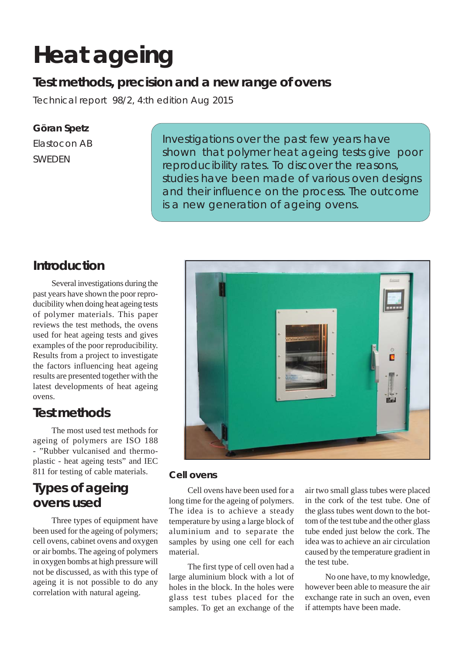# **Heat ageing**

### **Test methods, precision and a new range of ovens**

Technical report 98/2, 4:th edition Aug 2015

### **Göran Spetz**

Elastocon AB SWEDEN

Investigations over the past few years have shown that polymer heat ageing tests give poor reproducibility rates. To discover the reasons, studies have been made of various oven designs and their influence on the process. The outcome is a new generation of ageing ovens.

### **Introduction**

Several investigations during the past years have shown the poor reproducibility when doing heat ageing tests of polymer materials. This paper reviews the test methods, the ovens used for heat ageing tests and gives examples of the poor reproducibility. Results from a project to investigate the factors influencing heat ageing results are presented together with the latest developments of heat ageing ovens.

### **Test methods**

The most used test methods for ageing of polymers are ISO 188 - "Rubber vulcanised and thermoplastic - heat ageing tests" and IEC 811 for testing of cable materials.

## **Types of ageing ovens used**

Three types of equipment have been used for the ageing of polymers; cell ovens, cabinet ovens and oxygen or air bombs. The ageing of polymers in oxygen bombs at high pressure will not be discussed, as with this type of ageing it is not possible to do any correlation with natural ageing.



#### **Cell ovens**

Cell ovens have been used for a long time for the ageing of polymers. The idea is to achieve a steady temperature by using a large block of aluminium and to separate the samples by using one cell for each material.

The first type of cell oven had a large aluminium block with a lot of holes in the block. In the holes were glass test tubes placed for the samples. To get an exchange of the

air two small glass tubes were placed in the cork of the test tube. One of the glass tubes went down to the bottom of the test tube and the other glass tube ended just below the cork. The idea was to achieve an air circulation caused by the temperature gradient in the test tube.

 No one have, to my knowledge, however been able to measure the air exchange rate in such an oven, even if attempts have been made.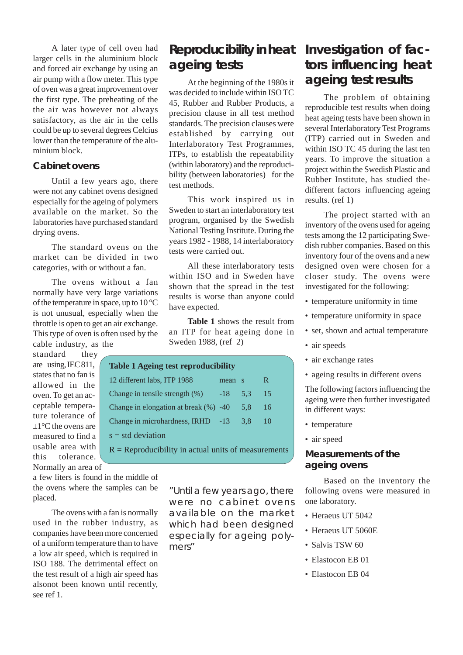A later type of cell oven had larger cells in the aluminium block and forced air exchange by using an air pump with a flow meter. This type of oven was a great improvement over the first type. The preheating of the the air was however not always satisfactory, as the air in the cells could be up to several degrees Celcius lower than the temperature of the aluminium block.

#### **Cabinet ovens**

Until a few years ago, there were not any cabinet ovens designed especially for the ageing of polymers available on the market. So the laboratories have purchased standard drying ovens.

The standard ovens on the market can be divided in two categories, with or without a fan.

The ovens without a fan normally have very large variations of the temperature in space, up to 10 °C is not unusual, especially when the throttle is open to get an air exchange. This type of oven is often used by the cable industry, as the

standard they are using, IEC 811, states that no fan is allowed in the oven. To get an acceptable temperature tolerance of  $+1$ °C the ovens are measured to find a usable area with this tolerance. Normally an area of

a few liters is found in the middle of the ovens where the samples can be placed.

The ovens with a fan is normally used in the rubber industry, as companies have been more concerned of a uniform temperature than to have a low air speed, which is required in ISO 188. The detrimental effect on the test result of a high air speed has alsonot been known until recently, see ref 1.

### **Reproducibility in heat ageing tests**

At the beginning of the 1980s it was decided to include within ISO TC 45, Rubber and Rubber Products, a precision clause in all test method standards. The precision clauses were established by carrying out Interlaboratory Test Programmes, ITPs, to establish the repeatability (within laboratory) and the reproducibility (between laboratories) for the test methods.

This work inspired us in Sweden to start an interlaboratory test program, organised by the Swedish National Testing Institute. During the years 1982 - 1988, 14 interlaboratory tests were carried out.

All these interlaboratory tests within ISO and in Sweden have shown that the spread in the test results is worse than anyone could have expected.

**Table 1** shows the result from an ITP for heat ageing done in Sweden 1988, (ref 2)

| <b>Table 1 Ageing test reproducibility</b>            |       |              |    |  |  |
|-------------------------------------------------------|-------|--------------|----|--|--|
| 12 different labs, ITP 1988                           | mean  | $^{\circ}$ S | R. |  |  |
| Change in tensile strength $(\%)$                     | $-18$ | 5.3          | 15 |  |  |
| Change in elongation at break $(\%)$ -40              |       | 5.8          | 16 |  |  |
| Change in microhardness, IRHD -13                     |       | 3.8          | 10 |  |  |
| $s = std deviation$                                   |       |              |    |  |  |
| $R = Reproducibility in actual units of measurements$ |       |              |    |  |  |

"Until a few years ago, there were no cabinet ovens available on the market which had been designed especially for ageing polymers"

### **Investigation of factors influencing heat ageing test results**

The problem of obtaining reproducible test results when doing heat ageing tests have been shown in several Interlaboratory Test Programs (ITP) carried out in Sweden and within ISO TC 45 during the last ten years. To improve the situation a project within the Swedish Plastic and Rubber Institute, has studied thedifferent factors influencing ageing results. (ref 1)

The project started with an inventory of the ovens used for ageing tests among the 12 participating Swedish rubber companies. Based on this inventory four of the ovens and a new designed oven were chosen for a closer study. The ovens were investigated for the following:

- temperature uniformity in time
- temperature uniformity in space
- set, shown and actual temperature
- air speeds
- air exchange rates
- ageing results in different ovens

The following factors influencing the ageing were then further investigated in different ways:

- temperature
- air speed

#### **Measurements of the ageing ovens**

Based on the inventory the following ovens were measured in one laboratory.

- Heraeus UT 5042
- Heraeus UT 5060E
- Salvis TSW 60
- Elastocon EB 01
- Elastocon EB 04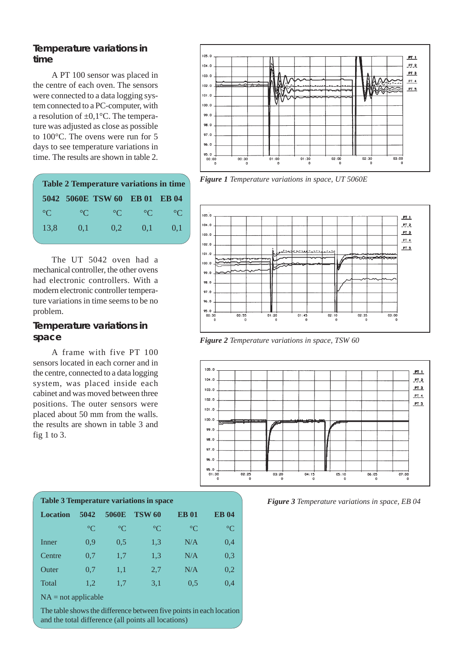#### **Temperature variations in time**

A PT 100 sensor was placed in the centre of each oven. The sensors were connected to a data logging system connected to a PC-computer, with a resolution of  $\pm 0.1$ °C. The temperature was adjusted as close as possible to 100°C. The ovens were run for 5 days to see temperature variations in time. The results are shown in table 2.

| <b>Table 2 Temperature variations in time</b> |             |                               |                 |                 |  |  |
|-----------------------------------------------|-------------|-------------------------------|-----------------|-----------------|--|--|
|                                               |             | 5042 5060E TSW 60 EB 01 EB 04 |                 |                 |  |  |
| $^{\circ}C$                                   | $^{\circ}C$ | $^{\circ}C$                   | $\rm ^{\circ}C$ | $\rm ^{\circ}C$ |  |  |
| 13,8                                          | 0,1         | 0.2                           | 0,1             | 0,1             |  |  |
|                                               |             |                               |                 |                 |  |  |

The UT 5042 oven had a mechanical controller, the other ovens had electronic controllers. With a modern electronic controller temperature variations in time seems to be no problem.

#### **Temperature variations in space**

A frame with five PT 100 sensors located in each corner and in the centre, connected to a data logging system, was placed inside each cabinet and was moved between three positions. The outer sensors were placed about 50 mm from the walls. the results are shown in table 3 and fig 1 to 3.



**Figure 1** Temperature variations in space, UT 5060E



*Figure 2 Temperature variations in space, TSW 60*



*Figure 3 Temperature variations in space, EB 04*

| <b>Table 3 Temperature variations in space</b> |                 |                 |                 |                 |  |
|------------------------------------------------|-----------------|-----------------|-----------------|-----------------|--|
| 5042                                           | 5060E           | <b>TSW 60</b>   | <b>EB01</b>     | <b>EB04</b>     |  |
| $\rm ^{\circ}C$                                | $\rm ^{\circ}C$ | $\rm ^{\circ}C$ | $\rm ^{\circ}C$ | $\rm ^{\circ}C$ |  |
| 0.9                                            | 0.5             | 1,3             | N/A             | 0,4             |  |
| 0.7                                            | 1,7             | 1,3             | N/A             | 0.3             |  |
| 0.7                                            | 1,1             | 2,7             | N/A             | 0,2             |  |
| 1,2                                            | 1,7             | 3,1             | 0.5             | 0,4             |  |
|                                                |                 |                 |                 |                 |  |

 $NA = not applicable$ 

The table shows the difference between five points in each location and the total difference (all points all locations)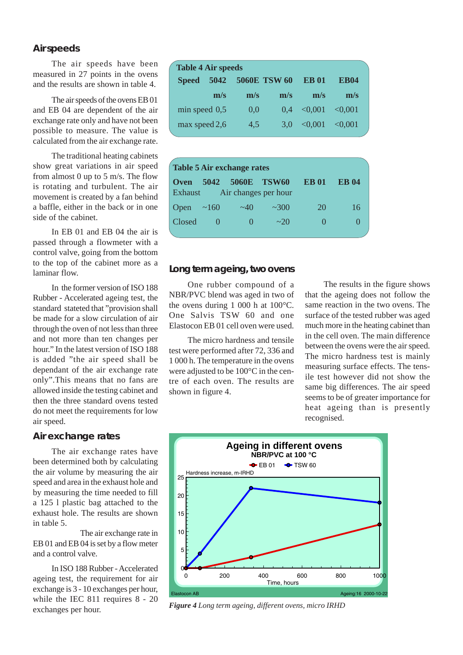#### **Air speeds**

The air speeds have been measured in 27 points in the ovens and the results are shown in table 4.

The air speeds of the ovens EB 01 and EB 04 are dependent of the air exchange rate only and have not been possible to measure. The value is calculated from the air exchange rate.

The traditional heating cabinets show great variations in air speed from almost 0 up to 5 m/s. The flow is rotating and turbulent. The air movement is created by a fan behind a baffle, either in the back or in one side of the cabinet.

In EB 01 and EB 04 the air is passed through a flowmeter with a control valve, going from the bottom to the top of the cabinet more as a laminar flow.

In the former version of ISO 188 Rubber - Accelerated ageing test, the standard stateted that "provision shall be made for a slow circulation of air through the oven of not less than three and not more than ten changes per hour." In the latest version of ISO 188 is added "the air speed shall be dependant of the air exchange rate only".This means that no fans are allowed inside the testing cabinet and then the three standard ovens tested do not meet the requirements for low air speed.

#### **Air exchange rates**

The air exchange rates have been determined both by calculating the air volume by measuring the air speed and area in the exhaust hole and by measuring the time needed to fill a 125 l plastic bag attached to the exhaust hole. The results are shown in table 5.

The air exchange rate in EB 01 and EB 04 is set by a flow meter and a control valve.

In ISO 188 Rubber - Accelerated ageing test, the requirement for air exchange is 3 - 10 exchanges per hour, while the IEC 811 requires 8 - 20 exchanges per hour.

| <b>Table 4 Air speeds</b> |      |     |              |             |             |  |  |
|---------------------------|------|-----|--------------|-------------|-------------|--|--|
| <b>Speed</b>              | 5042 |     | 5060E TSW 60 | <b>EB01</b> | <b>EB04</b> |  |  |
|                           | m/s  | m/s | m/s          | m/s         | m/s         |  |  |
| $min$ speed $0,5$         |      | 0,0 | 0.4          | < 0.001     | < 0.001     |  |  |
| max speed 2,6             |      | 4,5 | 3.0          | < 0.001     | < 0.001     |  |  |
|                           |      |     |              |             |             |  |  |

| Table 5 Air exchange rates |      |                   |                                      |             |              |  |
|----------------------------|------|-------------------|--------------------------------------|-------------|--------------|--|
| <b>Oven</b><br>Exhaust     | 5042 | 5060E             | <b>TSW60</b><br>Air changes per hour | <b>EB01</b> | <b>EB</b> 04 |  |
| Open                       | ~160 | $\sim$ 40         | ~2300                                | 20          | 16           |  |
| Closed                     |      | $\mathbf{\Omega}$ | $\sim$ 20                            |             | $\Omega$     |  |

#### **Long term ageing, two ovens**

One rubber compound of a NBR/PVC blend was aged in two of the ovens during 1 000 h at 100°C. One Salvis TSW 60 and one Elastocon EB 01 cell oven were used.

The micro hardness and tensile test were performed after 72, 336 and 1 000 h. The temperature in the ovens were adjusted to be 100°C in the centre of each oven. The results are shown in figure 4.

The results in the figure shows that the ageing does not follow the same reaction in the two ovens. The surface of the tested rubber was aged much more in the heating cabinet than in the cell oven. The main difference between the ovens were the air speed. The micro hardness test is mainly measuring surface effects. The tensile test however did not show the same big differences. The air speed seems to be of greater importance for heat ageing than is presently recognised.



*Figure 4 Long term ageing, different ovens, micro IRHD*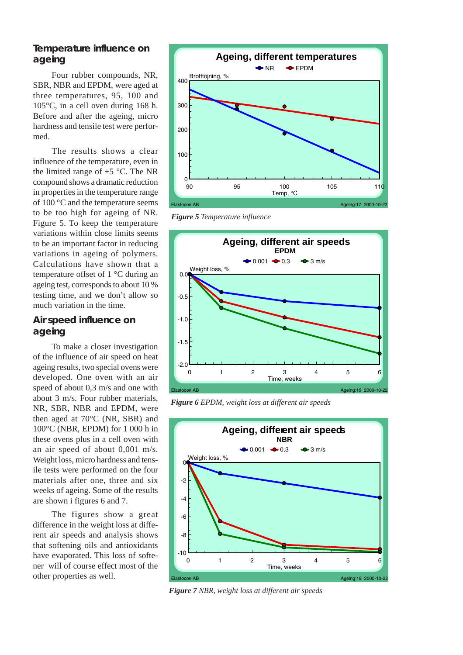#### **Temperature influence on ageing**

Four rubber compounds, NR, SBR, NBR and EPDM, were aged at three temperatures, 95, 100 and 105°C, in a cell oven during 168 h. Before and after the ageing, micro hardness and tensile test were performed.

The results shows a clear influence of the temperature, even in the limited range of  $\pm$ 5 °C. The NR compound shows a dramatic reduction in properties in the temperature range of 100 °C and the temperature seems to be too high for ageing of NR. Figure 5. To keep the temperature variations within close limits seems to be an important factor in reducing variations in ageing of polymers. Calculations have shown that a temperature offset of 1 °C during an ageing test, corresponds to about 10 % testing time, and we don't allow so much variation in the time.

#### **Air speed influence on ageing**

To make a closer investigation of the influence of air speed on heat ageing results, two special ovens were developed. One oven with an air speed of about 0,3 m/s and one with about 3 m/s. Four rubber materials, NR, SBR, NBR and EPDM, were then aged at 70°C (NR, SBR) and 100°C (NBR, EPDM) for 1 000 h in these ovens plus in a cell oven with an air speed of about 0,001 m/s. Weight loss, micro hardness and tensile tests were performed on the four materials after one, three and six weeks of ageing. Some of the results are shown i figures 6 and 7.

The figures show a great difference in the weight loss at different air speeds and analysis shows that softening oils and antioxidants have evaporated. This loss of softener will of course effect most of the other properties as well.



*Figure 5 Temperature influence*



*Figure 6 EPDM, weight loss at different air speeds*



*Figure 7 NBR, weight loss at different air speeds*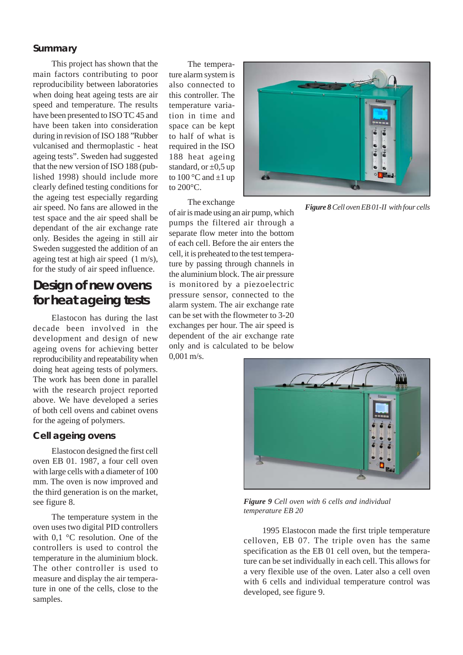#### **Summary**

This project has shown that the main factors contributing to poor reproducibility between laboratories when doing heat ageing tests are air speed and temperature. The results have been presented to ISO TC 45 and have been taken into consideration during in revision of ISO 188 "Rubber vulcanised and thermoplastic - heat ageing tests". Sweden had suggested that the new version of ISO 188 (published 1998) should include more clearly defined testing conditions for the ageing test especially regarding air speed. No fans are allowed in the test space and the air speed shall be dependant of the air exchange rate only. Besides the ageing in still air Sweden suggested the addition of an ageing test at high air speed (1 m/s), for the study of air speed influence.

### **Design of new ovens for heat ageing tests**

Elastocon has during the last decade been involved in the development and design of new ageing ovens for achieving better reproducibility and repeatability when doing heat ageing tests of polymers. The work has been done in parallel with the research project reported above. We have developed a series of both cell ovens and cabinet ovens for the ageing of polymers.

#### **Cell ageing ovens**

Elastocon designed the first cell oven EB 01. 1987, a four cell oven with large cells with a diameter of 100 mm. The oven is now improved and the third generation is on the market, see figure 8.

The temperature system in the oven uses two digital PID controllers with 0.1 °C resolution. One of the controllers is used to control the temperature in the aluminium block. The other controller is used to measure and display the air temperature in one of the cells, close to the samples.

The temperature alarm system is also connected to this controller. The temperature variation in time and space can be kept to half of what is required in the ISO 188 heat ageing standard, or  $\pm 0.5$  up to  $100^{\circ}$ C and  $\pm 1$  up to 200°C.

The exchange



*Figure 8 Cell oven EB 01-II with four cells*

of air is made using an air pump, which pumps the filtered air through a separate flow meter into the bottom of each cell. Before the air enters the cell, it is preheated to the test temperature by passing through channels in the aluminium block. The air pressure is monitored by a piezoelectric pressure sensor, connected to the alarm system. The air exchange rate can be set with the flowmeter to 3-20 exchanges per hour. The air speed is dependent of the air exchange rate only and is calculated to be below  $0.001$  m/s.



*Figure 9 Cell oven with 6 cells and individual temperature EB 20*

1995 Elastocon made the first triple temperature celloven, EB 07. The triple oven has the same specification as the EB 01 cell oven, but the temperature can be set individually in each cell. This allows for a very flexible use of the oven. Later also a cell oven with 6 cells and individual temperature control was developed, see figure 9.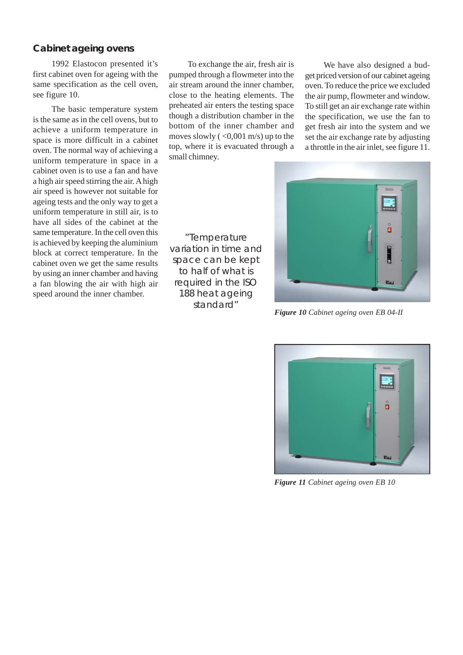#### **Cabinet ageing ovens**

1992 Elastocon presented it's first cabinet oven for ageing with the same specification as the cell oven, see figure 10.

The basic temperature system is the same as in the cell ovens, but to achieve a uniform temperature in space is more difficult in a cabinet oven. The normal way of achieving a uniform temperature in space in a cabinet oven is to use a fan and have a high air speed stirring the air. A high air speed is however not suitable for ageing tests and the only way to get a uniform temperature in still air, is to have all sides of the cabinet at the same temperature. In the cell oven this is achieved by keeping the aluminium block at correct temperature. In the cabinet oven we get the same results by using an inner chamber and having a fan blowing the air with high air speed around the inner chamber.

To exchange the air, fresh air is pumped through a flowmeter into the air stream around the inner chamber, close to the heating elements. The preheated air enters the testing space though a distribution chamber in the bottom of the inner chamber and moves slowly  $(<0.001$  m/s) up to the top, where it is evacuated through a small chimney.

We have also designed a budget priced version of our cabinet ageing oven. To reduce the price we excluded the air pump, flowmeter and window. To still get an air exchange rate within the specification, we use the fan to get fresh air into the system and we set the air exchange rate by adjusting a throttle in the air inlet, see figure 11.



*Figure 10 Cabinet ageing oven EB 04-II*



*Figure 11 Cabinet ageing oven EB 10*

"Temperature variation in time and space can be kept to half of what is required in the ISO 188 heat ageing standard"